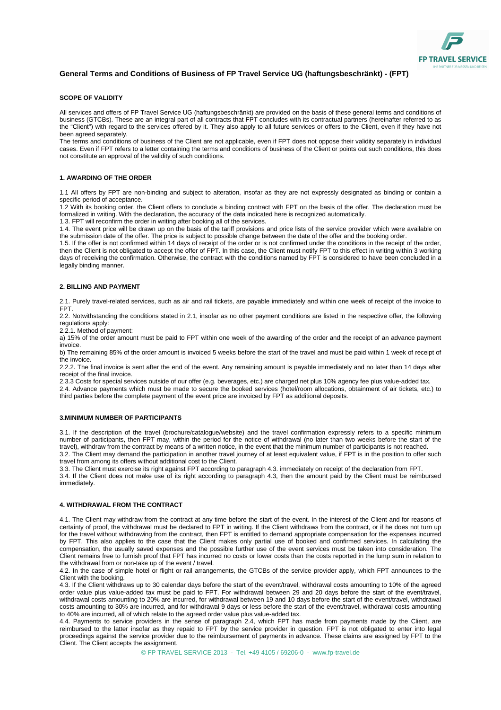

# **General Terms and Conditions of Business of FP Travel Service UG (haftungsbeschränkt) - (FPT)**

#### **SCOPE OF VALIDITY**

All services and offers of FP Travel Service UG (haftungsbeschränkt) are provided on the basis of these general terms and conditions of business (GTCBs). These are an integral part of all contracts that FPT concludes with its contractual partners (hereinafter referred to as the "Client") with regard to the services offered by it. They also apply to all future services or offers to the Client, even if they have not been agreed separately.

The terms and conditions of business of the Client are not applicable, even if FPT does not oppose their validity separately in individual cases. Even if FPT refers to a letter containing the terms and conditions of business of the Client or points out such conditions, this does not constitute an approval of the validity of such conditions.

### **1. AWARDING OF THE ORDER**

1.1 All offers by FPT are non-binding and subject to alteration, insofar as they are not expressly designated as binding or contain a specific period of acceptance.

1.2 With its booking order, the Client offers to conclude a binding contract with FPT on the basis of the offer. The declaration must be formalized in writing. With the declaration, the accuracy of the data indicated here is recognized automatically.

1.3. FPT will reconfirm the order in writing after booking all of the services.

1.4. The event price will be drawn up on the basis of the tariff provisions and price lists of the service provider which were available on the submission date of the offer. The price is subject to possible change between the date of the offer and the booking order.

1.5. If the offer is not confirmed within 14 days of receipt of the order or is not confirmed under the conditions in the receipt of the order, then the Client is not obligated to accept the offer of FPT. In this case, the Client must notify FPT to this effect in writing within 3 working days of receiving the confirmation. Otherwise, the contract with the conditions named by FPT is considered to have been concluded in a legally binding manner.

## **2. BILLING AND PAYMENT**

2.1. Purely travel-related services, such as air and rail tickets, are payable immediately and within one week of receipt of the invoice to FPT.

2.2. Notwithstanding the conditions stated in 2.1, insofar as no other payment conditions are listed in the respective offer, the following regulations apply:

2.2.1. Method of payment:

a) 15% of the order amount must be paid to FPT within one week of the awarding of the order and the receipt of an advance payment invoice.

b) The remaining 85% of the order amount is invoiced 5 weeks before the start of the travel and must be paid within 1 week of receipt of the invoice.

2.2.2. The final invoice is sent after the end of the event. Any remaining amount is payable immediately and no later than 14 days after receipt of the final invoice.

2.3.3 Costs for special services outside of our offer (e.g. beverages, etc.) are charged net plus 10% agency fee plus value-added tax. 2.4. Advance payments which must be made to secure the booked services (hotel/room allocations, obtainment of air tickets, etc.) to third parties before the complete payment of the event price are invoiced by FPT as additional deposits.

## **3.MINIMUM NUMBER OF PARTICIPANTS**

3.1. If the description of the travel (brochure/catalogue/website) and the travel confirmation expressly refers to a specific minimum number of participants, then FPT may, within the period for the notice of withdrawal (no later than two weeks before the start of the travel), withdraw from the contract by means of a written notice, in the event that the minimum number of participants is not reached. 3.2. The Client may demand the participation in another travel journey of at least equivalent value, if FPT is in the position to offer such

travel from among its offers without additional cost to the Client. 3.3. The Client must exercise its right against FPT according to paragraph 4.3. immediately on receipt of the declaration from FPT.

3.4. If the Client does not make use of its right according to paragraph 4.3, then the amount paid by the Client must be reimbursed immediately.

## **4. WITHDRAWAL FROM THE CONTRACT**

4.1. The Client may withdraw from the contract at any time before the start of the event. In the interest of the Client and for reasons of certainty of proof, the withdrawal must be declared to FPT in writing. If the Client withdraws from the contract, or if he does not turn up for the travel without withdrawing from the contract, then FPT is entitled to demand appropriate compensation for the expenses incurred by FPT. This also applies to the case that the Client makes only partial use of booked and confirmed services. In calculating the compensation, the usually saved expenses and the possible further use of the event services must be taken into consideration. The Client remains free to furnish proof that FPT has incurred no costs or lower costs than the costs reported in the lump sum in relation to the withdrawal from or non-take up of the event / travel.

4.2. In the case of simple hotel or flight or rail arrangements, the GTCBs of the service provider apply, which FPT announces to the Client with the booking.

4.3. If the Client withdraws up to 30 calendar days before the start of the event/travel, withdrawal costs amounting to 10% of the agreed order value plus value-added tax must be paid to FPT. For withdrawal between 29 and 20 days before the start of the event/travel, withdrawal costs amounting to 20% are incurred, for withdrawal between 19 and 10 days before the start of the event/travel, withdrawal costs amounting to 30% are incurred, and for withdrawal 9 days or less before the start of the event/travel, withdrawal costs amounting to 40% are incurred, all of which relate to the agreed order value plus value-added tax.

4.4. Payments to service providers in the sense of paragraph 2.4, which FPT has made from payments made by the Client, are reimbursed to the latter insofar as they repaid to FPT by the service provider in question. FPT is not obligated to enter into legal proceedings against the service provider due to the reimbursement of payments in advance. These claims are assigned by FPT to the Client. The Client accepts the assignment.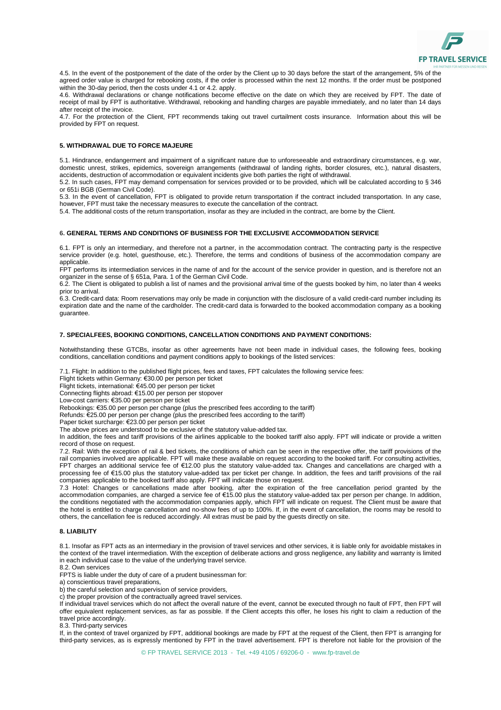4.5. In the event of the postponement of the date of the order by the Client up to 30 days before the start of the arrangement, 5% of the agreed order value is charged for rebooking costs, if the order is processed within the next 12 months. If the order must be postponed within the 30-day period, then the costs under 4.1 or 4.2. apply.

4.6. Withdrawal declarations or change notifications become effective on the date on which they are received by FPT. The date of receipt of mail by FPT is authoritative. Withdrawal, rebooking and handling charges are payable immediately, and no later than 14 days after receipt of the invoice.

4.7. For the protection of the Client, FPT recommends taking out travel curtailment costs insurance. Information about this will be provided by FPT on request.

## **5. WITHDRAWAL DUE TO FORCE MAJEURE**

5.1. Hindrance, endangerment and impairment of a significant nature due to unforeseeable and extraordinary circumstances, e.g. war, domestic unrest, strikes, epidemics, sovereign arrangements (withdrawal of landing rights, border closures, etc.), natural disasters, accidents, destruction of accommodation or equivalent incidents give both parties the right of withdrawal.

5.2. In such cases, FPT may demand compensation for services provided or to be provided, which will be calculated according to § 346 or 651i BGB (German Civil Code).

5.3. In the event of cancellation, FPT is obligated to provide return transportation if the contract included transportation. In any case, however, FPT must take the necessary measures to execute the cancellation of the contract.

5.4. The additional costs of the return transportation, insofar as they are included in the contract, are borne by the Client.

#### **6. GENERAL TERMS AND CONDITIONS OF BUSINESS FOR THE EXCLUSIVE ACCOMMODATION SERVICE**

6.1. FPT is only an intermediary, and therefore not a partner, in the accommodation contract. The contracting party is the respective service provider (e.g. hotel, guesthouse, etc.). Therefore, the terms and conditions of business of the accommodation company are applicable.

FPT performs its intermediation services in the name of and for the account of the service provider in question, and is therefore not an organizer in the sense of § 651a, Para. 1 of the German Civil Code.

6.2. The Client is obligated to publish a list of names and the provisional arrival time of the guests booked by him, no later than 4 weeks prior to arrival.

6.3. Credit-card data: Room reservations may only be made in conjunction with the disclosure of a valid credit-card number including its expiration date and the name of the cardholder. The credit-card data is forwarded to the booked accommodation company as a booking guarantee.

### **7. SPECIALFEES, BOOKING CONDITIONS, CANCELLATION CONDITIONS AND PAYMENT CONDITIONS:**

Notwithstanding these GTCBs, insofar as other agreements have not been made in individual cases, the following fees, booking conditions, cancellation conditions and payment conditions apply to bookings of the listed services:

7.1. Flight: In addition to the published flight prices, fees and taxes, FPT calculates the following service fees:

Flight tickets within Germany: €30.00 per person per ticket

Flight tickets, international: €45.00 per person per ticket

Connecting flights abroad: €15.00 per person per stopover

Low-cost carriers: €35.00 per person per ticket

Rebookings: €35.00 per person per change (plus the prescribed fees according to the tariff)

Refunds: €25.00 per person per change (plus the prescribed fees according to the tariff)

Paper ticket surcharge: €23.00 per person per ticket

The above prices are understood to be exclusive of the statutory value-added tax.

In addition, the fees and tariff provisions of the airlines applicable to the booked tariff also apply. FPT will indicate or provide a written record of those on request.

7.2. Rail: With the exception of rail & bed tickets, the conditions of which can be seen in the respective offer, the tariff provisions of the rail companies involved are applicable. FPT will make these available on request according to the booked tariff. For consulting activities, FPT charges an additional service fee of €12.00 plus the statutory value-added tax. Changes and cancellations are charged with a processing fee of €15.00 plus the statutory value-added tax per ticket per change. In addition, the fees and tariff provisions of the rail companies applicable to the booked tariff also apply. FPT will indicate those on request.

7.3 Hotel: Changes or cancellations made after booking, after the expiration of the free cancellation period granted by the accommodation companies, are charged a service fee of €15.00 plus the statutory value-added tax per person per change. In addition, the conditions negotiated with the accommodation companies apply, which FPT will indicate on request. The Client must be aware that the hotel is entitled to charge cancellation and no-show fees of up to 100%. If, in the event of cancellation, the rooms may be resold to others, the cancellation fee is reduced accordingly. All extras must be paid by the guests directly on site.

### **8. LIABILITY**

8.1. Insofar as FPT acts as an intermediary in the provision of travel services and other services, it is liable only for avoidable mistakes in the context of the travel intermediation. With the exception of deliberate actions and gross negligence, any liability and warranty is limited in each individual case to the value of the underlying travel service. 8.2. Own services

FPTS is liable under the duty of care of a prudent businessman for:

a) conscientious travel preparations,

b) the careful selection and supervision of service providers,

c) the proper provision of the contractually agreed travel services.

If individual travel services which do not affect the overall nature of the event, cannot be executed through no fault of FPT, then FPT will offer equivalent replacement services, as far as possible. If the Client accepts this offer, he loses his right to claim a reduction of the travel price accordingly.

8.3. Third-party services

If, in the context of travel organized by FPT, additional bookings are made by FPT at the request of the Client, then FPT is arranging for third-party services, as is expressly mentioned by FPT in the travel advertisement. FPT is therefore not liable for the provision of the